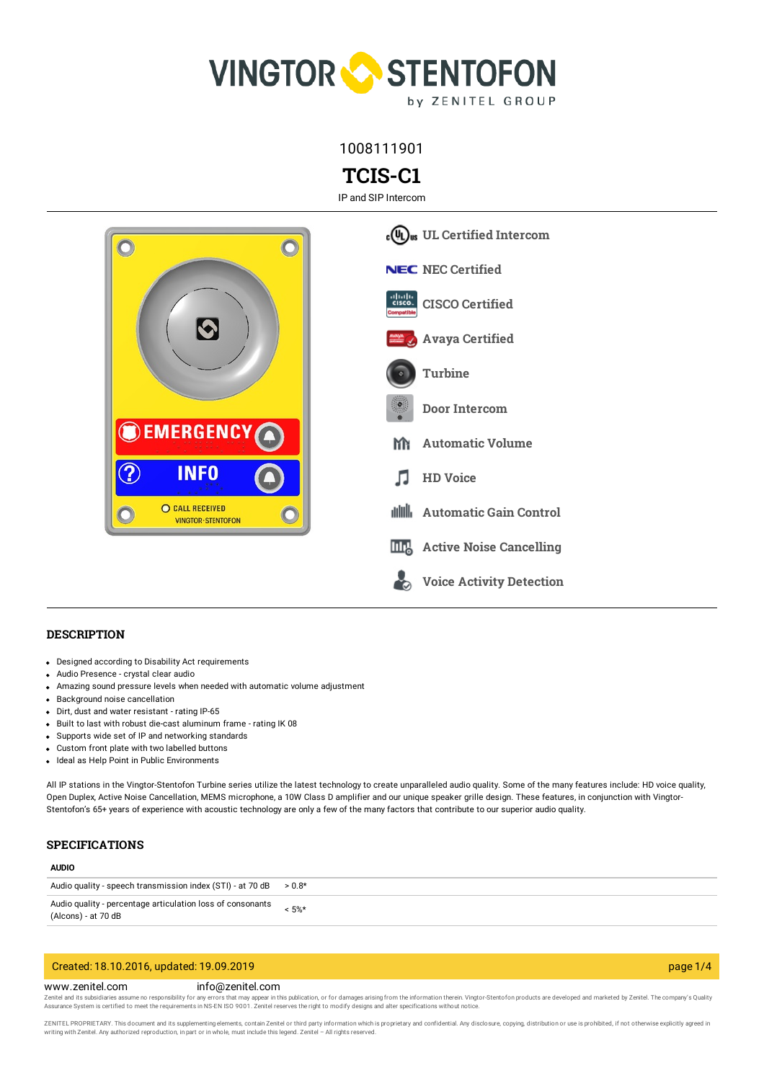

1008111901

# **TCIS-C1**

IP and SIP Intercom



### **DESCRIPTION**

- Designed according to Disability Act requirements
- Audio Presence crystal clear audio
- Amazing sound pressure levels when needed with automatic volume adjustment
- Background noise cancellation
- Dirt, dust and water resistant rating IP-65
- Built to last with robust die-cast aluminum frame rating IK 08
- Supports wide set of IP and networking standards
- Custom front plate with two labelled buttons
- Ideal as Help Point in Public Environments

All IP stations in the Vingtor-Stentofon Turbine series utilize the latest technology to create unparalleled audio quality. Some of the many features include: HD voice quality, Open Duplex, Active Noise Cancellation, MEMS microphone, a 10W Class D amplifier and our unique speaker grille design. These features, in conjunction with Vingtor-Stentofon's 65+ years of experience with acoustic technology are only a few of the many factors that contribute to our superior audio quality.

# **SPECIFICATIONS**

#### **AUDIO**

| Audio quality - speech transmission index (STI) - at 70 dB $>0.8*$                |           |
|-----------------------------------------------------------------------------------|-----------|
| Audio quality - percentage articulation loss of consonants<br>(Alcons) - at 70 dB | $< 5\%$ * |
|                                                                                   |           |

### Created: 18.10.2016, updated: 19.09.2019 page 1/4

#### www.zenitel.com info@zenitel.com

Zenitel and its subsidiaries assume no responsibility for any errors that may appear in this publication, or for damages arising from the information therein. Vingtor-Stentofon products are developed and marketed by Zenite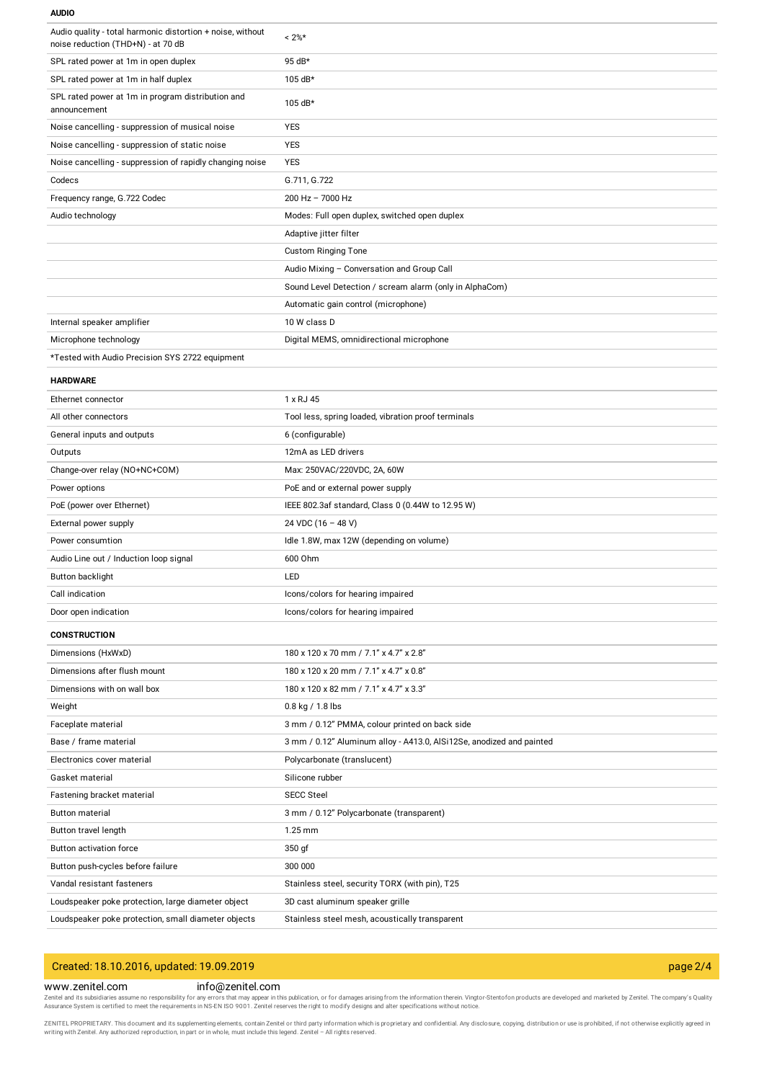#### **AUDIO**

| Audio quality - total harmonic distortion + noise, without<br>noise reduction (THD+N) - at 70 dB | $< 2\%$ *                                                            |
|--------------------------------------------------------------------------------------------------|----------------------------------------------------------------------|
| SPL rated power at 1m in open duplex                                                             | 95 dB*                                                               |
| SPL rated power at 1m in half duplex                                                             | 105 dB*                                                              |
| SPL rated power at 1m in program distribution and<br>announcement                                | 105 dB*                                                              |
| Noise cancelling - suppression of musical noise                                                  | <b>YES</b>                                                           |
| Noise cancelling - suppression of static noise                                                   | <b>YES</b>                                                           |
| Noise cancelling - suppression of rapidly changing noise                                         | <b>YES</b>                                                           |
| Codecs                                                                                           | G.711, G.722                                                         |
| Frequency range, G.722 Codec                                                                     | $200$ Hz $- 7000$ Hz                                                 |
| Audio technology                                                                                 | Modes: Full open duplex, switched open duplex                        |
|                                                                                                  | Adaptive jitter filter                                               |
|                                                                                                  | <b>Custom Ringing Tone</b>                                           |
|                                                                                                  | Audio Mixing - Conversation and Group Call                           |
|                                                                                                  | Sound Level Detection / scream alarm (only in AlphaCom)              |
|                                                                                                  | Automatic gain control (microphone)                                  |
| Internal speaker amplifier                                                                       | 10 W class D                                                         |
| Microphone technology                                                                            | Digital MEMS, omnidirectional microphone                             |
| *Tested with Audio Precision SYS 2722 equipment                                                  |                                                                      |
| <b>HARDWARE</b>                                                                                  |                                                                      |
| Ethernet connector                                                                               | 1 x RJ 45                                                            |
| All other connectors                                                                             | Tool less, spring loaded, vibration proof terminals                  |
| General inputs and outputs                                                                       | 6 (configurable)                                                     |
| Outputs                                                                                          | 12mA as LED drivers                                                  |
|                                                                                                  | Max: 250VAC/220VDC, 2A, 60W                                          |
| Change-over relay (NO+NC+COM)                                                                    |                                                                      |
| Power options                                                                                    | PoE and or external power supply                                     |
| PoE (power over Ethernet)                                                                        | IEEE 802.3af standard, Class 0 (0.44W to 12.95 W)                    |
| External power supply                                                                            | 24 VDC (16 - 48 V)                                                   |
| Power consumtion                                                                                 | Idle 1.8W, max 12W (depending on volume)                             |
| Audio Line out / Induction loop signal                                                           | 600 Ohm                                                              |
| Button backlight                                                                                 | LED                                                                  |
| Call indication                                                                                  | Icons/colors for hearing impaired                                    |
| Door open indication                                                                             | Icons/colors for hearing impaired                                    |
| <b>CONSTRUCTION</b>                                                                              |                                                                      |
| Dimensions (HxWxD)                                                                               | 180 x 120 x 70 mm / 7.1" x 4.7" x 2.8"                               |
| Dimensions after flush mount                                                                     | 180 x 120 x 20 mm / 7.1" x 4.7" x 0.8"                               |
| Dimensions with on wall box                                                                      | 180 x 120 x 82 mm / 7.1" x 4.7" x 3.3"                               |
| Weight                                                                                           | 0.8 kg / 1.8 lbs                                                     |
| Faceplate material                                                                               | 3 mm / 0.12" PMMA, colour printed on back side                       |
| Base / frame material                                                                            | 3 mm / 0.12" Aluminum alloy - A413.0, AlSi12Se, anodized and painted |
| Electronics cover material                                                                       | Polycarbonate (translucent)                                          |
| Gasket material                                                                                  | Silicone rubber                                                      |
| Fastening bracket material                                                                       | <b>SECC Steel</b>                                                    |
| <b>Button material</b>                                                                           | 3 mm / 0.12" Polycarbonate (transparent)                             |
| Button travel length                                                                             | 1.25 mm                                                              |
| Button activation force                                                                          | 350 gf                                                               |
| Button push-cycles before failure                                                                | 300 000                                                              |
| Vandal resistant fasteners                                                                       | Stainless steel, security TORX (with pin), T25                       |
| Loudspeaker poke protection, large diameter object                                               | 3D cast aluminum speaker grille                                      |

# Created: 18.10.2016, updated: 19.09.2019 page 2/4

### www.zenitel.com info@zenitel.com

Zenitel and its subsidiaries assume no responsibility for any errors that may appear in this publication, or for damages arising from the information therein. Vingtor-Stentofon products are developed and marketed by Zenite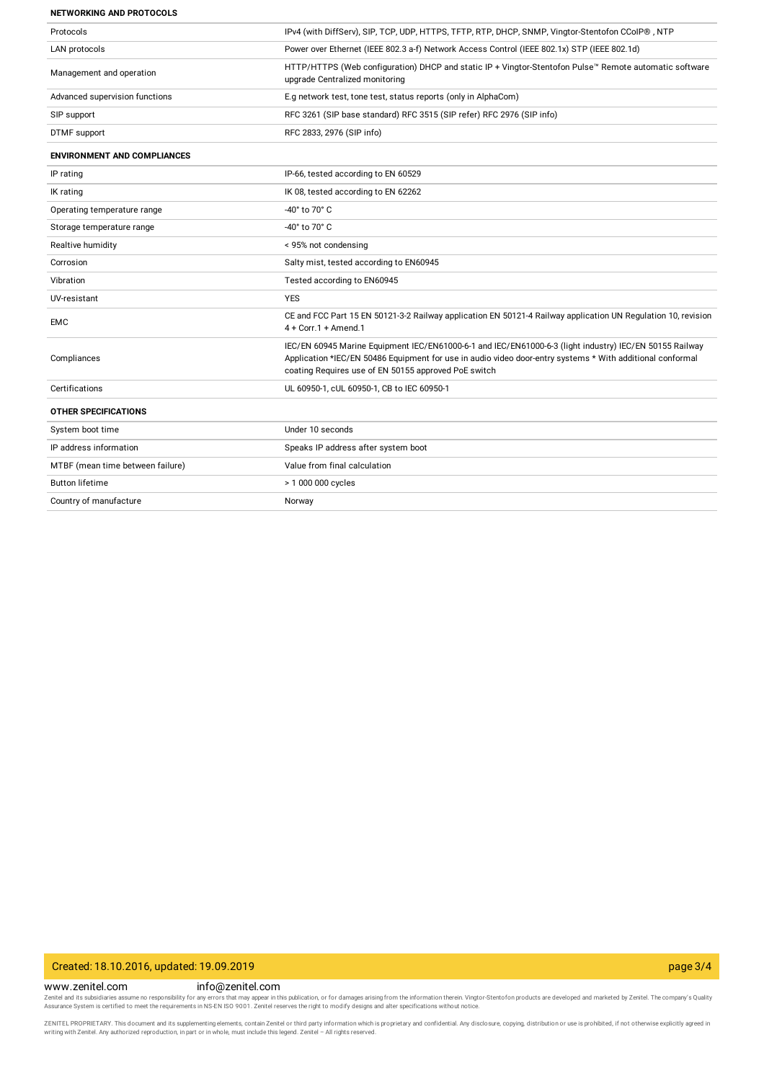#### **NETWORKING AND PROTOCOLS**

| Protocols                          | IPv4 (with DiffServ), SIP, TCP, UDP, HTTPS, TFTP, RTP, DHCP, SNMP, Vingtor-Stentofon CCoIP®, NTP                                                                                                                                                                             |
|------------------------------------|------------------------------------------------------------------------------------------------------------------------------------------------------------------------------------------------------------------------------------------------------------------------------|
| LAN protocols                      | Power over Ethernet (IEEE 802.3 a-f) Network Access Control (IEEE 802.1x) STP (IEEE 802.1d)                                                                                                                                                                                  |
| Management and operation           | HTTP/HTTPS (Web configuration) DHCP and static IP + Vingtor-Stentofon Pulse™ Remote automatic software<br>upgrade Centralized monitoring                                                                                                                                     |
| Advanced supervision functions     | E.g network test, tone test, status reports (only in AlphaCom)                                                                                                                                                                                                               |
| SIP support                        | RFC 3261 (SIP base standard) RFC 3515 (SIP refer) RFC 2976 (SIP info)                                                                                                                                                                                                        |
| DTMF support                       | RFC 2833, 2976 (SIP info)                                                                                                                                                                                                                                                    |
| <b>ENVIRONMENT AND COMPLIANCES</b> |                                                                                                                                                                                                                                                                              |
| IP rating                          | IP-66, tested according to EN 60529                                                                                                                                                                                                                                          |
| IK rating                          | IK 08, tested according to EN 62262                                                                                                                                                                                                                                          |
| Operating temperature range        | -40° to 70° C                                                                                                                                                                                                                                                                |
| Storage temperature range          | -40° to 70° C                                                                                                                                                                                                                                                                |
| Realtive humidity                  | < 95% not condensing                                                                                                                                                                                                                                                         |
| Corrosion                          | Salty mist, tested according to EN60945                                                                                                                                                                                                                                      |
| Vibration                          | Tested according to EN60945                                                                                                                                                                                                                                                  |
| UV-resistant                       | <b>YES</b>                                                                                                                                                                                                                                                                   |
| <b>EMC</b>                         | CE and FCC Part 15 EN 50121-3-2 Railway application EN 50121-4 Railway application UN Regulation 10, revision<br>$4 +$ Corr. 1 + Amend. 1                                                                                                                                    |
| Compliances                        | IEC/EN 60945 Marine Equipment IEC/EN61000-6-1 and IEC/EN61000-6-3 (light industry) IEC/EN 50155 Railway<br>Application *IEC/EN 50486 Equipment for use in audio video door-entry systems * With additional conformal<br>coating Requires use of EN 50155 approved PoE switch |
| Certifications                     | UL 60950-1, cUL 60950-1, CB to IEC 60950-1                                                                                                                                                                                                                                   |
| <b>OTHER SPECIFICATIONS</b>        |                                                                                                                                                                                                                                                                              |
| System boot time                   | Under 10 seconds                                                                                                                                                                                                                                                             |
| IP address information             | Speaks IP address after system boot                                                                                                                                                                                                                                          |
| MTBF (mean time between failure)   | Value from final calculation                                                                                                                                                                                                                                                 |
| <b>Button lifetime</b>             | > 1 000 000 cycles                                                                                                                                                                                                                                                           |
| Country of manufacture             | Norway                                                                                                                                                                                                                                                                       |
|                                    |                                                                                                                                                                                                                                                                              |

### Created: 18.10.2016, updated: 19.09.2019 page 3/4

www.zenitel.com info@zenitel.com Zenitel and its subsidiaries assume no responsibility for any errors that may appear in this publication, or for damages arising from the information therein. Vingtor-Stentofon products are developed and marketed by Zenite